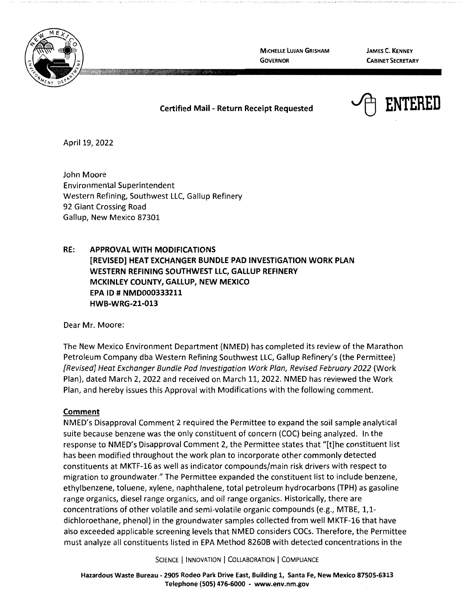

**MICHELLE LUJAN GRISHAM GOVERNOR** 

**JAMES C. KENNEY CABINET SECRETARY** 



April 19, 2022

John Moore Environmental Superintendent Western Refining, Southwest LLC, Gallup Refinery 92 Giant Crossing Road Gallup, New Mexico 87301

**RE: APPROVAL WITH MODIFICATIONS [REVISED] HEAT EXCHANGER BUNDLE PAD INVESTIGATION WORK PLAN WESTERN REFINING SOUTHWEST LLC, GALLUP REFINERY MCKINLEY COUNTY, GALLUP, NEW MEXICO EPA ID# NMD000333211 HWB-WRG-21-013** 

Dear Mr. Moore:

The New Mexico Environment Department (NMED) has completed its review of the Marathon Petroleum Company dba Western Refining Southwest LLC, Gallup Refinery's (the Permittee) [Revised} Heat Exchanger Bundle Pad Investigation Work Plan, Revised February 2022 (Work Plan), dated March 2, 2022 and received on March 11, 2022. NMED has reviewed the Work Plan, and hereby issues this Approval with Modifications with the following comment.

## **Comment**

NMED's Disapproval Comment 2 required the Permittee to expand the soil sample analytical suite because benzene was the only constituent of concern (COC) being analyzed. In the response to NMED's Disapproval Comment 2, the Permittee states that "[t]he constituent list has been modified throughout the work plan to incorporate other commonly detected constituents at MKTF-16 as well as indicator compounds/main risk drivers with respect to migration to groundwater." The Permittee expanded the constituent list to include benzene, ethylbenzene, toluene, xylene, naphthalene, total petroleum hydrocarbons (TPH) as gasoline range organics, diesel range organics, and oil range organics. Historically, there are concentrations of other volatile and semi-volatile organic compounds (e.g., MTBE, 1,1 dichloroethane, phenol) in the groundwater samples collected from well MKTF-16 that have also exceeded applicable screening levels that NMED considers COCs. Therefore, the Permittee must analyze all constituents listed in EPA Method 8260B with detected concentrations in the

SCIENCE | INNOVATION | COLLABORATION | COMPLIANCE

**Hazardous Waste Bureau** - **2905 Rodeo Park Drive East, Building 1, Santa Fe, New Mexico 87505-6313 Telephone (505) 476-6000** - **www.env.nm.gov**